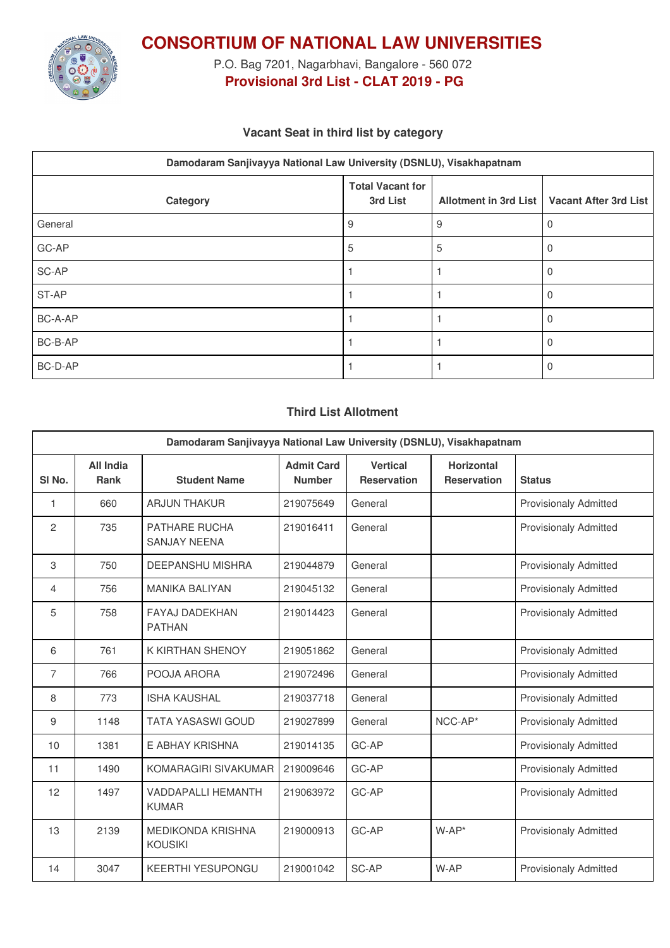

**CONSORTIUM OF NATIONAL LAW UNIVERSITIES**

P.O. Bag 7201, Nagarbhavi, Bangalore - 560 072 **Provisional 3rd List - CLAT 2019 - PG**

## **Vacant Seat in third list by category**

| Damodaram Sanjivayya National Law University (DSNLU), Visakhapatnam |                                     |   |                                               |  |  |
|---------------------------------------------------------------------|-------------------------------------|---|-----------------------------------------------|--|--|
| Category                                                            | <b>Total Vacant for</b><br>3rd List |   | Allotment in 3rd List   Vacant After 3rd List |  |  |
| General                                                             | 9                                   | 9 | O                                             |  |  |
| GC-AP                                                               | 5                                   | 5 | 0                                             |  |  |
| SC-AP                                                               |                                     |   | 0                                             |  |  |
| ST-AP                                                               |                                     |   | 0                                             |  |  |
| BC-A-AP                                                             |                                     |   |                                               |  |  |
| BC-B-AP                                                             |                                     |   |                                               |  |  |
| BC-D-AP                                                             |                                     |   |                                               |  |  |

#### **Third List Allotment**

| Damodaram Sanjivayya National Law University (DSNLU), Visakhapatnam |                          |                                            |                                    |                                       |                                         |                              |
|---------------------------------------------------------------------|--------------------------|--------------------------------------------|------------------------------------|---------------------------------------|-----------------------------------------|------------------------------|
| SI <sub>No.</sub>                                                   | <b>All India</b><br>Rank | <b>Student Name</b>                        | <b>Admit Card</b><br><b>Number</b> | <b>Vertical</b><br><b>Reservation</b> | <b>Horizontal</b><br><b>Reservation</b> | <b>Status</b>                |
| 1                                                                   | 660                      | <b>ARJUN THAKUR</b>                        | 219075649                          | General                               |                                         | <b>Provisionaly Admitted</b> |
| 2                                                                   | 735                      | PATHARE RUCHA<br><b>SANJAY NEENA</b>       | 219016411                          | General                               |                                         | <b>Provisionaly Admitted</b> |
| 3                                                                   | 750                      | DEEPANSHU MISHRA                           | 219044879                          | General                               |                                         | <b>Provisionaly Admitted</b> |
| 4                                                                   | 756                      | <b>MANIKA BALIYAN</b>                      | 219045132                          | General                               |                                         | <b>Provisionaly Admitted</b> |
| 5                                                                   | 758                      | <b>FAYAJ DADEKHAN</b><br><b>PATHAN</b>     | 219014423                          | General                               |                                         | <b>Provisionaly Admitted</b> |
| 6                                                                   | 761                      | K KIRTHAN SHENOY                           | 219051862                          | General                               |                                         | <b>Provisionaly Admitted</b> |
| $\overline{7}$                                                      | 766                      | POOJA ARORA                                | 219072496                          | General                               |                                         | <b>Provisionaly Admitted</b> |
| 8                                                                   | 773                      | <b>ISHA KAUSHAL</b>                        | 219037718                          | General                               |                                         | <b>Provisionaly Admitted</b> |
| 9                                                                   | 1148                     | <b>TATA YASASWI GOUD</b>                   | 219027899                          | General                               | NCC-AP*                                 | <b>Provisionaly Admitted</b> |
| 10                                                                  | 1381                     | E ABHAY KRISHNA                            | 219014135                          | GC-AP                                 |                                         | Provisionaly Admitted        |
| 11                                                                  | 1490                     | KOMARAGIRI SIVAKUMAR                       | 219009646                          | GC-AP                                 |                                         | <b>Provisionaly Admitted</b> |
| 12                                                                  | 1497                     | <b>VADDAPALLI HEMANTH</b><br><b>KUMAR</b>  | 219063972                          | GC-AP                                 |                                         | <b>Provisionaly Admitted</b> |
| 13                                                                  | 2139                     | <b>MEDIKONDA KRISHNA</b><br><b>KOUSIKI</b> | 219000913                          | GC-AP                                 | $W-AP^*$                                | <b>Provisionaly Admitted</b> |
| 14                                                                  | 3047                     | <b>KEERTHI YESUPONGU</b>                   | 219001042                          | SC-AP                                 | W-AP                                    | <b>Provisionaly Admitted</b> |